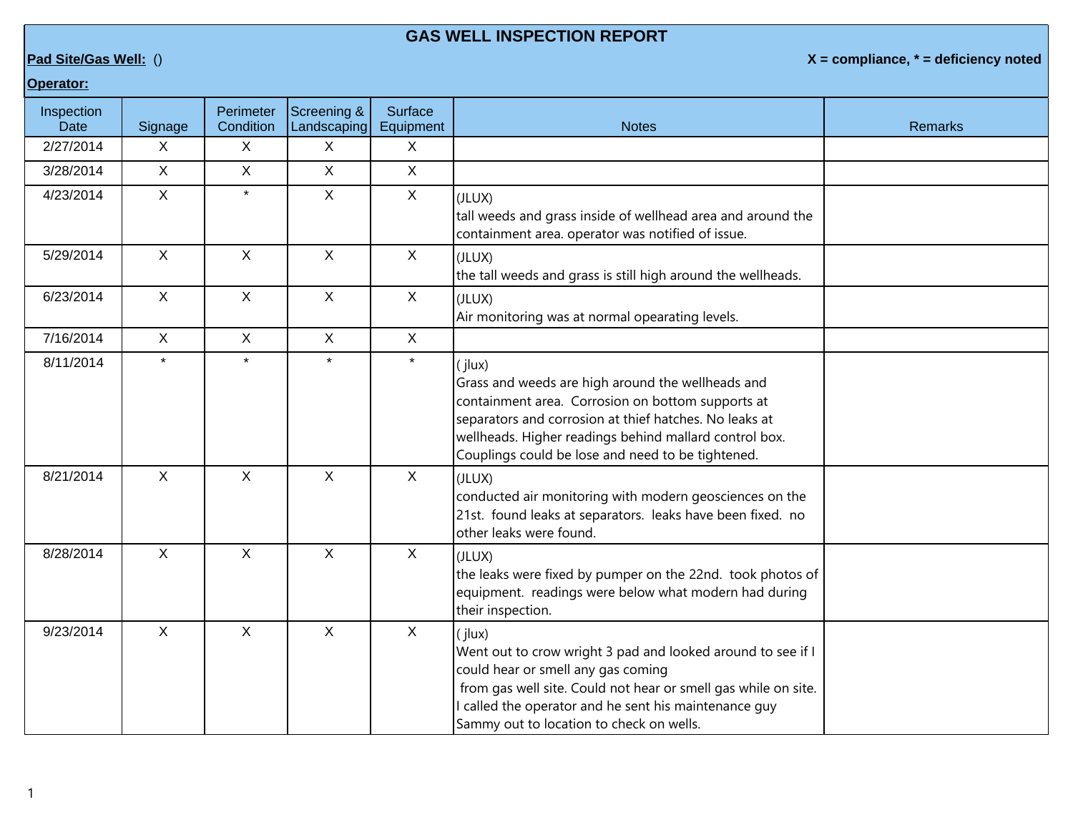## **GAS WELL INSPECTION REPORT**

**Pad Site/Gas Well:** () **X = compliance, \* = deficiency noted**

## **Operator:**

| Inspection<br>Date | Signage      | Perimeter<br>Condition | Screening &<br>Landscaping | <b>Surface</b><br>Equipment | <b>Notes</b>                                                                                                                                                                                                                                                                              | <b>Remarks</b> |
|--------------------|--------------|------------------------|----------------------------|-----------------------------|-------------------------------------------------------------------------------------------------------------------------------------------------------------------------------------------------------------------------------------------------------------------------------------------|----------------|
| 2/27/2014          | $\mathsf{X}$ | X                      | X                          | X                           |                                                                                                                                                                                                                                                                                           |                |
| 3/28/2014          | $\mathsf{X}$ | $\mathsf{X}$           | $\mathsf X$                | $\mathsf X$                 |                                                                                                                                                                                                                                                                                           |                |
| 4/23/2014          | $\mathsf{X}$ | $\star$                | $\mathsf{X}$               | $\mathsf{X}$                | (JLUX)<br>tall weeds and grass inside of wellhead area and around the<br>containment area. operator was notified of issue.                                                                                                                                                                |                |
| 5/29/2014          | X            | X                      | $\mathsf{X}$               | $\sf X$                     | (JLUX)<br>the tall weeds and grass is still high around the wellheads.                                                                                                                                                                                                                    |                |
| 6/23/2014          | $\mathsf{X}$ | $\mathsf{X}$           | $\mathsf{X}$               | $\mathsf{X}$                | (JLUX)<br>Air monitoring was at normal opearating levels.                                                                                                                                                                                                                                 |                |
| 7/16/2014          | X            | $\mathsf{X}$           | $\mathsf{X}$               | $\sf X$                     |                                                                                                                                                                                                                                                                                           |                |
| 8/11/2014          | $\star$      | $\ddot{\textbf{r}}$    | $\star$                    | $\star$                     | (ilux)<br>Grass and weeds are high around the wellheads and<br>containment area. Corrosion on bottom supports at<br>separators and corrosion at thief hatches. No leaks at<br>wellheads. Higher readings behind mallard control box.<br>Couplings could be lose and need to be tightened. |                |
| 8/21/2014          | $\mathsf{X}$ | $\mathsf{X}$           | $\mathsf{X}$               | $\mathsf{X}$                | (JLUX)<br>conducted air monitoring with modern geosciences on the<br>21st. found leaks at separators. leaks have been fixed. no<br>other leaks were found.                                                                                                                                |                |
| 8/28/2014          | $\mathsf{X}$ | X                      | $\mathsf X$                | $\mathsf{X}$                | (JLUX)<br>the leaks were fixed by pumper on the 22nd. took photos of<br>equipment. readings were below what modern had during<br>their inspection.                                                                                                                                        |                |
| 9/23/2014          | $\mathsf{X}$ | $\mathsf{X}$           | $\mathsf{X}$               | $\mathsf{X}$                | (jlux)<br>Went out to crow wright 3 pad and looked around to see if I<br>could hear or smell any gas coming<br>from gas well site. Could not hear or smell gas while on site.<br>I called the operator and he sent his maintenance guy<br>Sammy out to location to check on wells.        |                |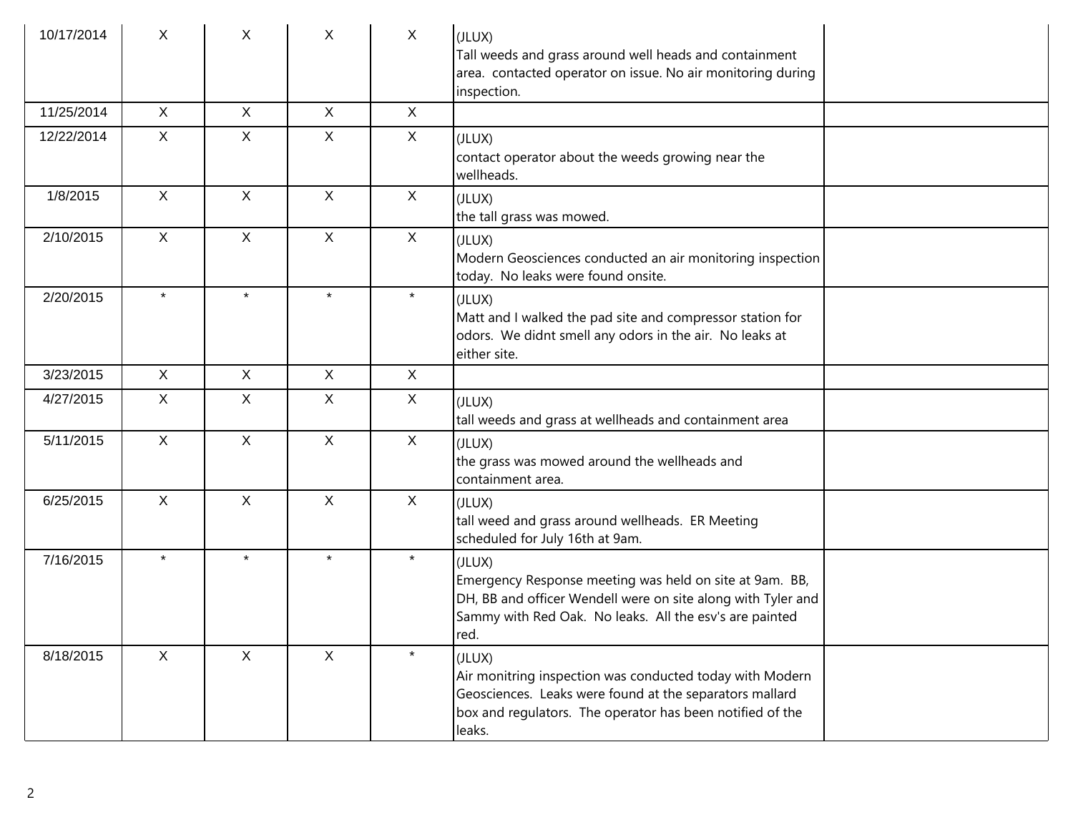| 10/17/2014 | X            | X.           | X            | $\mathsf{X}$ | (JLUX)<br>Tall weeds and grass around well heads and containment<br>area. contacted operator on issue. No air monitoring during<br>inspection.                                                       |
|------------|--------------|--------------|--------------|--------------|------------------------------------------------------------------------------------------------------------------------------------------------------------------------------------------------------|
| 11/25/2014 | $\mathsf{X}$ | $\mathsf{X}$ | $\mathsf{X}$ | $\mathsf{X}$ |                                                                                                                                                                                                      |
| 12/22/2014 | $\mathsf{X}$ | X.           | $\mathsf{X}$ | $\mathsf{X}$ | (JLUX)<br>contact operator about the weeds growing near the<br>wellheads.                                                                                                                            |
| 1/8/2015   | $\mathsf{X}$ | $\mathsf{X}$ | $\mathsf{X}$ | $\mathsf{X}$ | (JLUX)<br>the tall grass was mowed.                                                                                                                                                                  |
| 2/10/2015  | $\mathsf{X}$ | $\mathsf{X}$ | $\mathsf{X}$ | X            | (JLUX)<br>Modern Geosciences conducted an air monitoring inspection<br>today. No leaks were found onsite.                                                                                            |
| 2/20/2015  | $\star$      | $\star$      | $\star$      | $\star$      | (JLUX)<br>Matt and I walked the pad site and compressor station for<br>odors. We didnt smell any odors in the air. No leaks at<br>either site.                                                       |
| 3/23/2015  | $\mathsf{X}$ | X            | X            | $\mathsf{X}$ |                                                                                                                                                                                                      |
| 4/27/2015  | X            | X            | X            | $\mathsf{X}$ | (JLUX)<br>tall weeds and grass at wellheads and containment area                                                                                                                                     |
| 5/11/2015  | $\mathsf{X}$ | $\mathsf{X}$ | $\mathsf{X}$ | X            | (JLUX)<br>the grass was mowed around the wellheads and<br>containment area.                                                                                                                          |
| 6/25/2015  | $\mathsf{X}$ | $\mathsf{X}$ | X            | $\mathsf{X}$ | (JLUX)<br>tall weed and grass around wellheads. ER Meeting<br>scheduled for July 16th at 9am.                                                                                                        |
| 7/16/2015  | $\star$      | $\star$      | $\star$      | $\star$      | (JLUX)<br>Emergency Response meeting was held on site at 9am. BB,<br>DH, BB and officer Wendell were on site along with Tyler and<br>Sammy with Red Oak. No leaks. All the esv's are painted<br>red. |
| 8/18/2015  | $\mathsf{X}$ | $\mathsf{X}$ | $\mathsf{X}$ | $\star$      | (JLUX)<br>Air monitring inspection was conducted today with Modern<br>Geosciences. Leaks were found at the separators mallard<br>box and regulators. The operator has been notified of the<br>leaks. |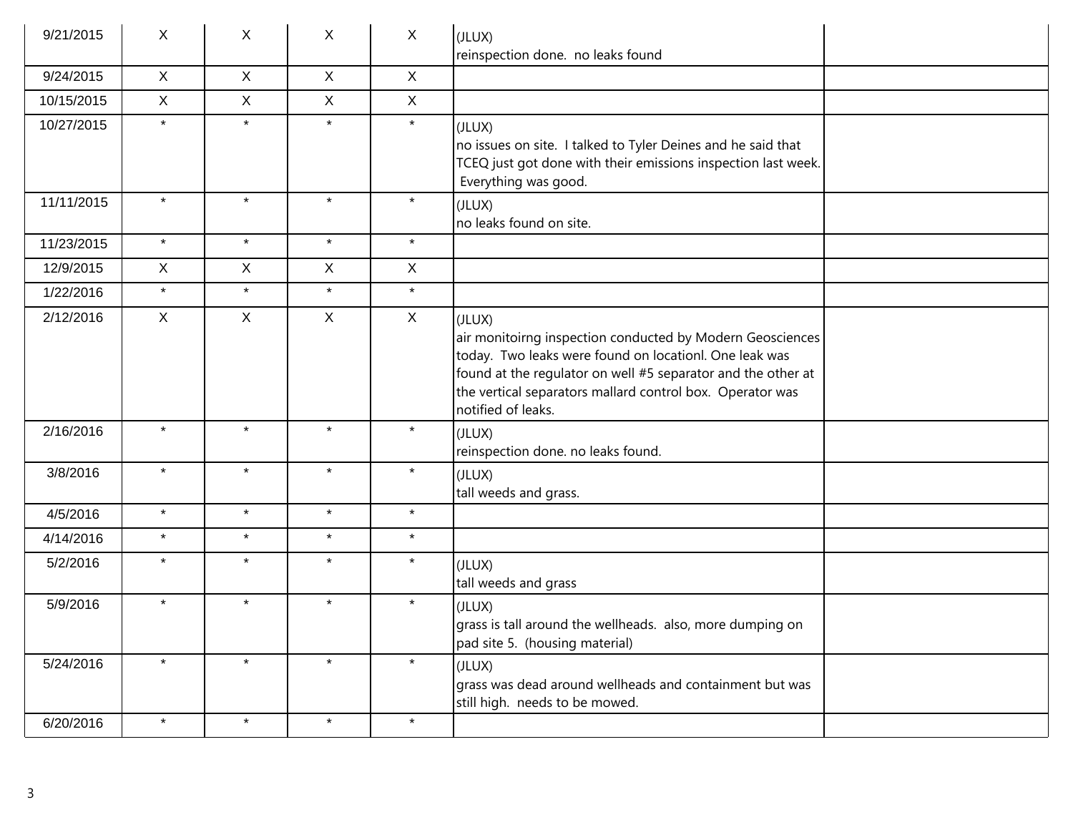| 9/21/2015  | X            | X            | X            | X            | (JLUX)<br>reinspection done. no leaks found                                                                                                                                                                                                                                      |
|------------|--------------|--------------|--------------|--------------|----------------------------------------------------------------------------------------------------------------------------------------------------------------------------------------------------------------------------------------------------------------------------------|
| 9/24/2015  | X            | $\mathsf{X}$ | $\mathsf{X}$ | $\mathsf{X}$ |                                                                                                                                                                                                                                                                                  |
| 10/15/2015 | X            | $\mathsf{X}$ | $\mathsf{X}$ | $\mathsf{X}$ |                                                                                                                                                                                                                                                                                  |
| 10/27/2015 | $\star$      | $\star$      | $\star$      | $\star$      | (JLUX)<br>no issues on site. I talked to Tyler Deines and he said that<br>TCEQ just got done with their emissions inspection last week.<br>Everything was good.                                                                                                                  |
| 11/11/2015 | $\star$      | $\star$      | $\star$      | $\star$      | (JLUX)<br>no leaks found on site.                                                                                                                                                                                                                                                |
| 11/23/2015 | $\star$      | $\star$      | $\star$      | $\star$      |                                                                                                                                                                                                                                                                                  |
| 12/9/2015  | X            | X            | X            | X            |                                                                                                                                                                                                                                                                                  |
| 1/22/2016  | $\star$      | $\star$      | $\star$      | $\star$      |                                                                                                                                                                                                                                                                                  |
| 2/12/2016  | $\mathsf{X}$ | $\mathsf{X}$ | X            | X            | (JLUX)<br>air monitoirng inspection conducted by Modern Geosciences<br>today. Two leaks were found on locationl. One leak was<br>found at the regulator on well #5 separator and the other at<br>the vertical separators mallard control box. Operator was<br>notified of leaks. |
| 2/16/2016  | $\star$      | $\star$      | $\star$      | $\star$      | (JLUX)<br>reinspection done. no leaks found.                                                                                                                                                                                                                                     |
| 3/8/2016   | $\star$      | $\star$      | $\star$      | $\star$      | (JLUX)<br>tall weeds and grass.                                                                                                                                                                                                                                                  |
| 4/5/2016   | $\star$      | $\star$      | $\star$      | $\star$      |                                                                                                                                                                                                                                                                                  |
| 4/14/2016  | $\star$      | $\star$      | $\star$      | $\star$      |                                                                                                                                                                                                                                                                                  |
| 5/2/2016   | $\star$      | $\star$      | $\star$      | $\star$      | (JLUX)<br>tall weeds and grass                                                                                                                                                                                                                                                   |
| 5/9/2016   | $\star$      | $\star$      | $\star$      | $\star$      | (JLUX)<br>grass is tall around the wellheads. also, more dumping on<br>pad site 5. (housing material)                                                                                                                                                                            |
| 5/24/2016  | $\star$      | $\star$      | $\star$      | $\star$      | (JLUX)<br>grass was dead around wellheads and containment but was<br>still high. needs to be mowed.                                                                                                                                                                              |
| 6/20/2016  | $\star$      | $\star$      | $\star$      | $\star$      |                                                                                                                                                                                                                                                                                  |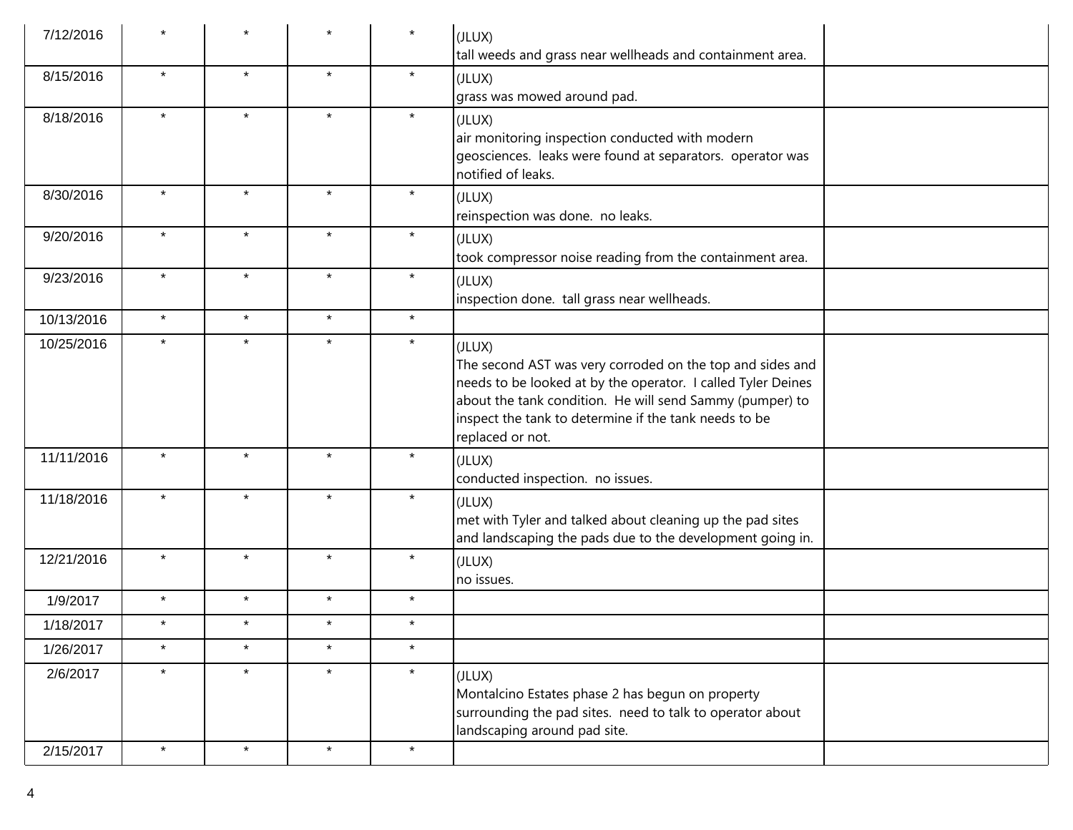| 7/12/2016  |         |         |         | $\star$ | (JLUX)<br>tall weeds and grass near wellheads and containment area.                                                                                                                                                                                                          |
|------------|---------|---------|---------|---------|------------------------------------------------------------------------------------------------------------------------------------------------------------------------------------------------------------------------------------------------------------------------------|
| 8/15/2016  | $\star$ | $\star$ | $\star$ | $\star$ | (JLUX)<br>grass was mowed around pad.                                                                                                                                                                                                                                        |
| 8/18/2016  | $\star$ | $\star$ | $\star$ | $\star$ | (JLUX)<br>air monitoring inspection conducted with modern<br>geosciences. leaks were found at separators. operator was<br>notified of leaks.                                                                                                                                 |
| 8/30/2016  | $\star$ | $\star$ | $\star$ | $\star$ | (JLUX)<br>reinspection was done. no leaks.                                                                                                                                                                                                                                   |
| 9/20/2016  | $\star$ | $\star$ | $\star$ | $\star$ | (JLUX)<br>took compressor noise reading from the containment area.                                                                                                                                                                                                           |
| 9/23/2016  | $\star$ | $\star$ | $\star$ | $\star$ | (JLUX)<br>inspection done. tall grass near wellheads.                                                                                                                                                                                                                        |
| 10/13/2016 | $\star$ | $\star$ | $\star$ | $\star$ |                                                                                                                                                                                                                                                                              |
| 10/25/2016 | $\star$ | $\star$ | $\star$ | $\star$ | (JLUX)<br>The second AST was very corroded on the top and sides and<br>needs to be looked at by the operator. I called Tyler Deines<br>about the tank condition. He will send Sammy (pumper) to<br>inspect the tank to determine if the tank needs to be<br>replaced or not. |
| 11/11/2016 | $\star$ | $\star$ | $\star$ | $\star$ | (JLUX)<br>conducted inspection. no issues.                                                                                                                                                                                                                                   |
| 11/18/2016 | $\star$ | $\star$ | $\star$ | $\star$ | (JLUX)<br>met with Tyler and talked about cleaning up the pad sites<br>and landscaping the pads due to the development going in.                                                                                                                                             |
| 12/21/2016 | $\star$ | $\star$ | $\star$ | $\star$ | (JLUX)<br>no issues.                                                                                                                                                                                                                                                         |
| 1/9/2017   | $\star$ | $\star$ | $\star$ | $\star$ |                                                                                                                                                                                                                                                                              |
| 1/18/2017  | $\star$ | $\star$ | $\star$ | $\star$ |                                                                                                                                                                                                                                                                              |
| 1/26/2017  | $\star$ | $\star$ | $\star$ | $\star$ |                                                                                                                                                                                                                                                                              |
| 2/6/2017   | $\star$ | $\star$ | $\star$ | $\star$ | (JLUX)<br>Montalcino Estates phase 2 has begun on property<br>surrounding the pad sites. need to talk to operator about<br>landscaping around pad site.                                                                                                                      |
| 2/15/2017  | $\star$ | $\star$ | $\star$ | $\star$ |                                                                                                                                                                                                                                                                              |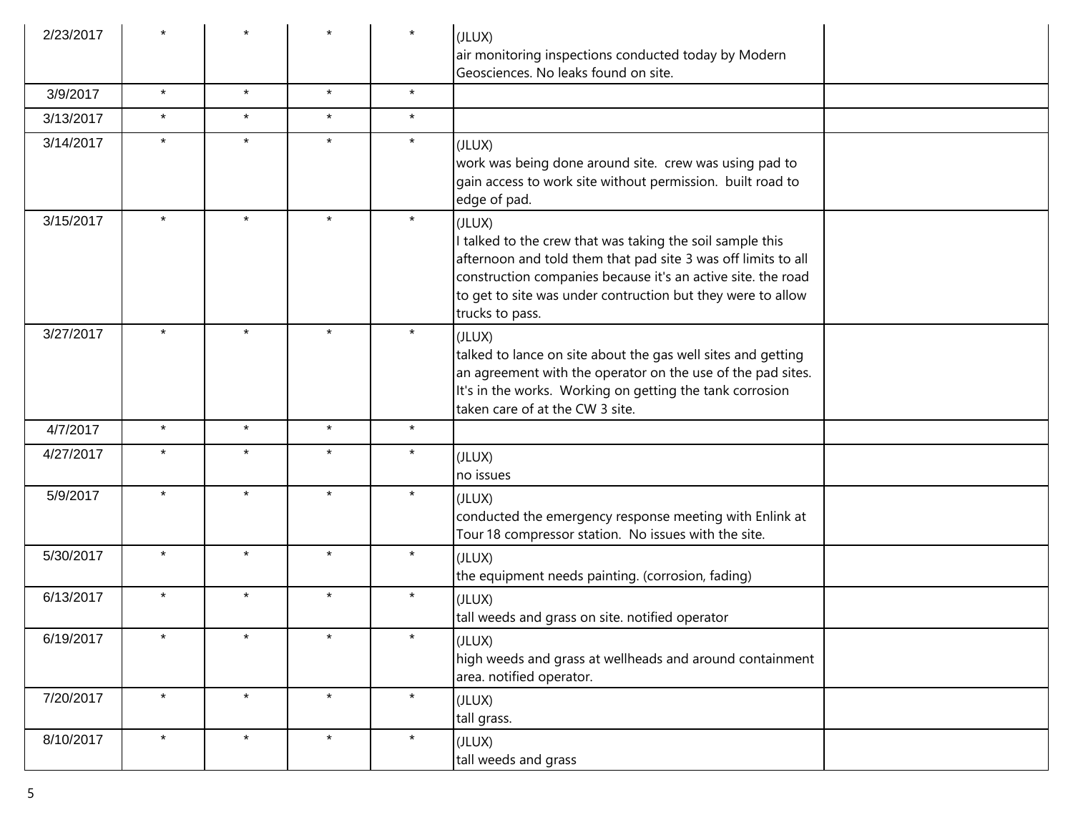| 2/23/2017 |         |         |         |         | (JLUX)<br>air monitoring inspections conducted today by Modern<br>Geosciences. No leaks found on site.                                                                                                                                                                               |
|-----------|---------|---------|---------|---------|--------------------------------------------------------------------------------------------------------------------------------------------------------------------------------------------------------------------------------------------------------------------------------------|
| 3/9/2017  | $\star$ | $\star$ | $\star$ | $\star$ |                                                                                                                                                                                                                                                                                      |
| 3/13/2017 | $\star$ | $\star$ | $\star$ | $\star$ |                                                                                                                                                                                                                                                                                      |
| 3/14/2017 | $\star$ | $\star$ | $\star$ | $\star$ | (JLUX)<br>work was being done around site. crew was using pad to<br>gain access to work site without permission. built road to<br>edge of pad.                                                                                                                                       |
| 3/15/2017 |         | $\star$ | $\star$ | $\star$ | (JLUX)<br>talked to the crew that was taking the soil sample this<br>afternoon and told them that pad site 3 was off limits to all<br>construction companies because it's an active site. the road<br>to get to site was under contruction but they were to allow<br>trucks to pass. |
| 3/27/2017 |         | $\star$ |         | $\star$ | (JLUX)<br>talked to lance on site about the gas well sites and getting<br>an agreement with the operator on the use of the pad sites.<br>It's in the works. Working on getting the tank corrosion<br>taken care of at the CW 3 site.                                                 |
| 4/7/2017  | $\star$ | $\star$ | $\star$ | $\star$ |                                                                                                                                                                                                                                                                                      |
| 4/27/2017 | $\star$ | $\star$ | $\star$ | $\star$ | (JLUX)<br>no issues                                                                                                                                                                                                                                                                  |
| 5/9/2017  | $\star$ | $\star$ | $\star$ | $\star$ | (JLUX)<br>conducted the emergency response meeting with Enlink at<br>Tour 18 compressor station. No issues with the site.                                                                                                                                                            |
| 5/30/2017 | $\star$ | $\star$ | $\star$ | $\star$ | (JLUX)<br>the equipment needs painting. (corrosion, fading)                                                                                                                                                                                                                          |
| 6/13/2017 | $\star$ | $\star$ | $\star$ | $\star$ | (JLUX)<br>tall weeds and grass on site. notified operator                                                                                                                                                                                                                            |
| 6/19/2017 | $\star$ | $\star$ | $\star$ | $\star$ | (JLUX)<br>high weeds and grass at wellheads and around containment<br>area. notified operator.                                                                                                                                                                                       |
| 7/20/2017 | $\star$ | $\star$ | $\star$ | $\star$ | (JLUX)<br>tall grass.                                                                                                                                                                                                                                                                |
| 8/10/2017 | $\star$ | $\star$ | $\star$ | $\star$ | (JLUX)<br>tall weeds and grass                                                                                                                                                                                                                                                       |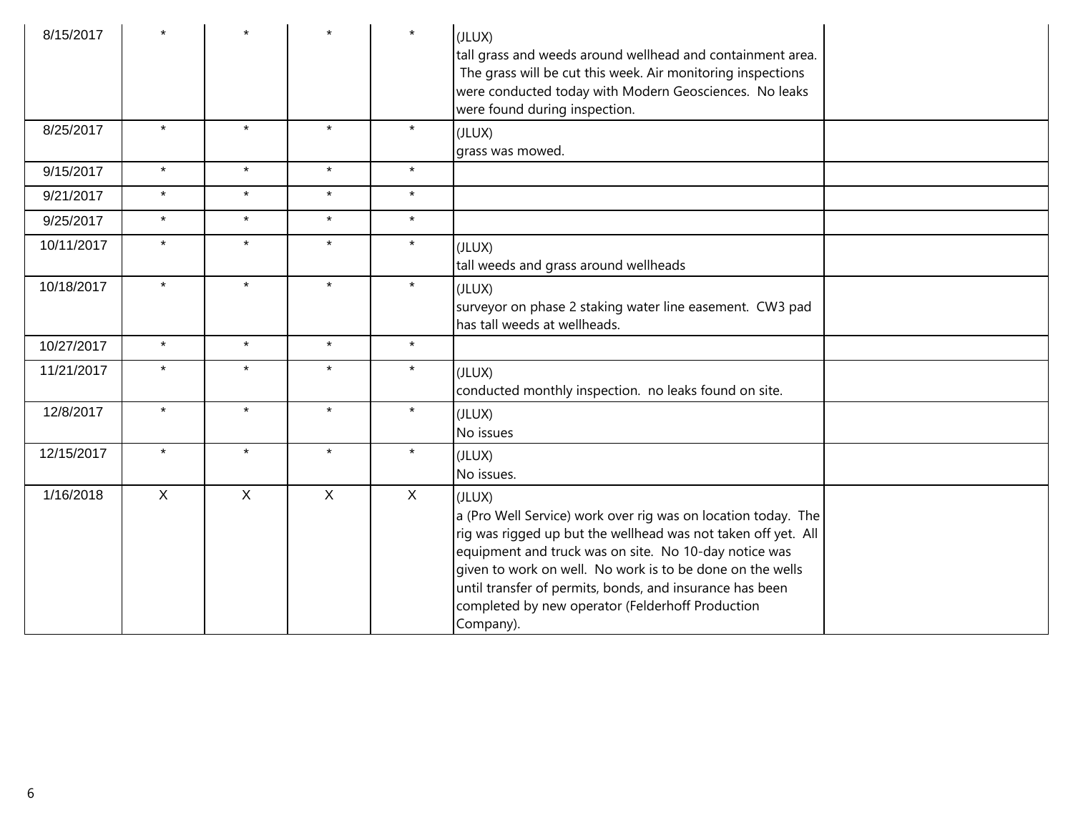| 8/15/2017  |              |              |              | $\star$      | (JLUX)<br>tall grass and weeds around wellhead and containment area.<br>The grass will be cut this week. Air monitoring inspections<br>were conducted today with Modern Geosciences. No leaks<br>were found during inspection.                                                                                                                                                              |  |
|------------|--------------|--------------|--------------|--------------|---------------------------------------------------------------------------------------------------------------------------------------------------------------------------------------------------------------------------------------------------------------------------------------------------------------------------------------------------------------------------------------------|--|
| 8/25/2017  | $\star$      | $\star$      | $\star$      | $\star$      | (JLUX)<br>grass was mowed.                                                                                                                                                                                                                                                                                                                                                                  |  |
| 9/15/2017  | $\star$      | $\star$      | $\star$      | $\star$      |                                                                                                                                                                                                                                                                                                                                                                                             |  |
| 9/21/2017  | $\star$      | $\star$      | $\star$      | $\star$      |                                                                                                                                                                                                                                                                                                                                                                                             |  |
| 9/25/2017  | $\star$      | $\star$      | $\star$      | $\star$      |                                                                                                                                                                                                                                                                                                                                                                                             |  |
| 10/11/2017 | $\star$      | $\star$      | $\star$      | $\star$      | (JLUX)<br>tall weeds and grass around wellheads                                                                                                                                                                                                                                                                                                                                             |  |
| 10/18/2017 | $\star$      | $\star$      | $\star$      | $\star$      | (JLUX)<br>surveyor on phase 2 staking water line easement. CW3 pad<br>has tall weeds at wellheads.                                                                                                                                                                                                                                                                                          |  |
| 10/27/2017 | $\star$      | $\star$      | $\star$      | $\star$      |                                                                                                                                                                                                                                                                                                                                                                                             |  |
| 11/21/2017 | $\star$      | $\star$      | $\star$      | $\star$      | (JLUX)<br>conducted monthly inspection. no leaks found on site.                                                                                                                                                                                                                                                                                                                             |  |
| 12/8/2017  | $\star$      | $\star$      | $\star$      | $\star$      | (JLUX)<br>No issues                                                                                                                                                                                                                                                                                                                                                                         |  |
| 12/15/2017 | $\star$      | $\star$      | $\star$      | $\star$      | (JLUX)<br>No issues.                                                                                                                                                                                                                                                                                                                                                                        |  |
| 1/16/2018  | $\mathsf{X}$ | $\mathsf{X}$ | $\mathsf{X}$ | $\mathsf{X}$ | (JLUX)<br>a (Pro Well Service) work over rig was on location today. The<br>rig was rigged up but the wellhead was not taken off yet. All<br>equipment and truck was on site. No 10-day notice was<br>given to work on well. No work is to be done on the wells<br>until transfer of permits, bonds, and insurance has been<br>completed by new operator (Felderhoff Production<br>Company). |  |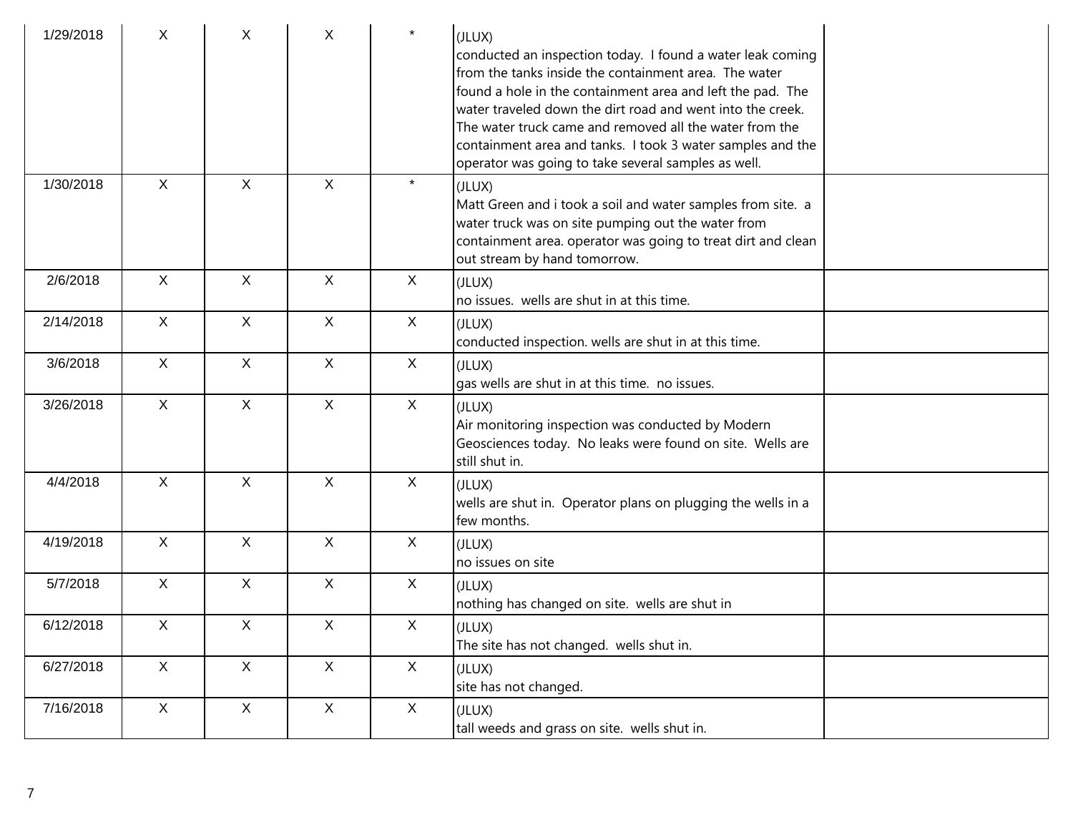| 1/29/2018 | X              | X              | X            | $\star$      | (JLUX)<br>conducted an inspection today. I found a water leak coming<br>from the tanks inside the containment area. The water<br>found a hole in the containment area and left the pad. The<br>water traveled down the dirt road and went into the creek.<br>The water truck came and removed all the water from the<br>containment area and tanks. I took 3 water samples and the<br>operator was going to take several samples as well. |
|-----------|----------------|----------------|--------------|--------------|-------------------------------------------------------------------------------------------------------------------------------------------------------------------------------------------------------------------------------------------------------------------------------------------------------------------------------------------------------------------------------------------------------------------------------------------|
| 1/30/2018 | $\mathsf{X}$   | $\mathsf{X}$   | $\mathsf{X}$ | $\star$      | (JLUX)<br>Matt Green and i took a soil and water samples from site. a<br>water truck was on site pumping out the water from<br>containment area. operator was going to treat dirt and clean<br>out stream by hand tomorrow.                                                                                                                                                                                                               |
| 2/6/2018  | $\mathsf{X}$   | X              | $\mathsf{X}$ | $\mathsf{X}$ | (JLUX)<br>no issues. wells are shut in at this time.                                                                                                                                                                                                                                                                                                                                                                                      |
| 2/14/2018 | $\mathsf{X}$   | $\mathsf{X}$   | $\mathsf{X}$ | X            | (JLUX)<br>conducted inspection. wells are shut in at this time.                                                                                                                                                                                                                                                                                                                                                                           |
| 3/6/2018  | $\mathsf{X}$   | $\pmb{\times}$ | $\mathsf{X}$ | X            | (JLUX)<br>gas wells are shut in at this time. no issues.                                                                                                                                                                                                                                                                                                                                                                                  |
| 3/26/2018 | $\mathsf{X}$   | $\mathsf{X}$   | $\mathsf{X}$ | X            | (JLUX)<br>Air monitoring inspection was conducted by Modern<br>Geosciences today. No leaks were found on site. Wells are<br>still shut in.                                                                                                                                                                                                                                                                                                |
| 4/4/2018  | $\mathsf{X}$   | $\mathsf{X}$   | $\mathsf{X}$ | $\mathsf{X}$ | (JLUX)<br>wells are shut in. Operator plans on plugging the wells in a<br>few months.                                                                                                                                                                                                                                                                                                                                                     |
| 4/19/2018 | $\mathsf{X}$   | X              | $\mathsf{X}$ | X            | (JLUX)<br>no issues on site                                                                                                                                                                                                                                                                                                                                                                                                               |
| 5/7/2018  | $\mathsf{X}$   | $\mathsf{X}$   | $\mathsf{X}$ | $\mathsf{X}$ | (JLUX)<br>nothing has changed on site. wells are shut in                                                                                                                                                                                                                                                                                                                                                                                  |
| 6/12/2018 | X              | X              | $\mathsf{X}$ | $\mathsf X$  | (JLUX)<br>The site has not changed. wells shut in.                                                                                                                                                                                                                                                                                                                                                                                        |
| 6/27/2018 | X              | $\mathsf{X}$   | $\mathsf{X}$ | X            | (JLUX)<br>site has not changed.                                                                                                                                                                                                                                                                                                                                                                                                           |
| 7/16/2018 | $\mathsf{X}^-$ | $\mathsf X$    | $\mathsf X$  | X            | (JLUX)<br>tall weeds and grass on site. wells shut in.                                                                                                                                                                                                                                                                                                                                                                                    |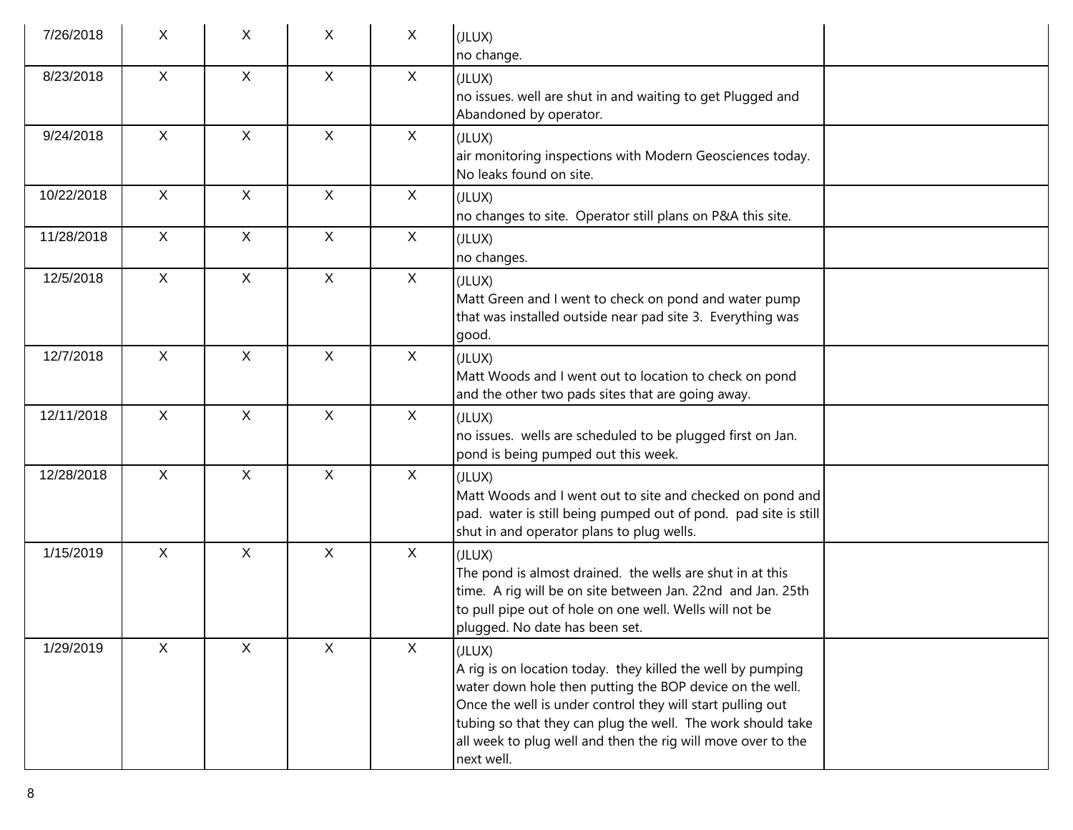| 7/26/2018  | X            | X            | X            | $\mathsf{X}$ | (JLUX)<br>no change.                                                                                                                                                                                                                                                                                                                         |  |
|------------|--------------|--------------|--------------|--------------|----------------------------------------------------------------------------------------------------------------------------------------------------------------------------------------------------------------------------------------------------------------------------------------------------------------------------------------------|--|
| 8/23/2018  | X            | $\mathsf{X}$ | $\mathsf{X}$ | $\mathsf{X}$ | (JLUX)<br>no issues. well are shut in and waiting to get Plugged and<br>Abandoned by operator.                                                                                                                                                                                                                                               |  |
| 9/24/2018  | X            | $\mathsf{X}$ | $\mathsf{X}$ | $\mathsf{X}$ | (JLUX)<br>air monitoring inspections with Modern Geosciences today.<br>No leaks found on site.                                                                                                                                                                                                                                               |  |
| 10/22/2018 | $\mathsf{X}$ | $\mathsf{X}$ | $\mathsf{X}$ | $\mathsf{X}$ | (JLUX)<br>no changes to site. Operator still plans on P&A this site.                                                                                                                                                                                                                                                                         |  |
| 11/28/2018 | $\mathsf{X}$ | $\mathsf{X}$ | X            | $\mathsf{X}$ | (JLUX)<br>no changes.                                                                                                                                                                                                                                                                                                                        |  |
| 12/5/2018  | $\mathsf{X}$ | $\mathsf{X}$ | $\mathsf{X}$ | $\mathsf{X}$ | (JLUX)<br>Matt Green and I went to check on pond and water pump<br>that was installed outside near pad site 3. Everything was<br>good.                                                                                                                                                                                                       |  |
| 12/7/2018  | $\mathsf{X}$ | $\mathsf{X}$ | $\mathsf{X}$ | $\mathsf{X}$ | (JLUX)<br>Matt Woods and I went out to location to check on pond<br>and the other two pads sites that are going away.                                                                                                                                                                                                                        |  |
| 12/11/2018 | $\mathsf{X}$ | X            | X            | $\mathsf{X}$ | (JLUX)<br>no issues. wells are scheduled to be plugged first on Jan.<br>pond is being pumped out this week.                                                                                                                                                                                                                                  |  |
| 12/28/2018 | $\mathsf{X}$ | $\mathsf{X}$ | $\mathsf{X}$ | $\mathsf{X}$ | (JLUX)<br>Matt Woods and I went out to site and checked on pond and<br>pad. water is still being pumped out of pond. pad site is still<br>shut in and operator plans to plug wells.                                                                                                                                                          |  |
| 1/15/2019  | $\mathsf{X}$ | X            | X            | X            | (JLUX)<br>The pond is almost drained. the wells are shut in at this<br>time. A rig will be on site between Jan. 22nd and Jan. 25th<br>to pull pipe out of hole on one well. Wells will not be<br>plugged. No date has been set.                                                                                                              |  |
| 1/29/2019  | X            | $\mathsf{X}$ | $\mathsf{X}$ | $\mathsf{X}$ | (JLUX)<br>A rig is on location today. they killed the well by pumping<br>water down hole then putting the BOP device on the well.<br>Once the well is under control they will start pulling out<br>tubing so that they can plug the well. The work should take<br>all week to plug well and then the rig will move over to the<br>next well. |  |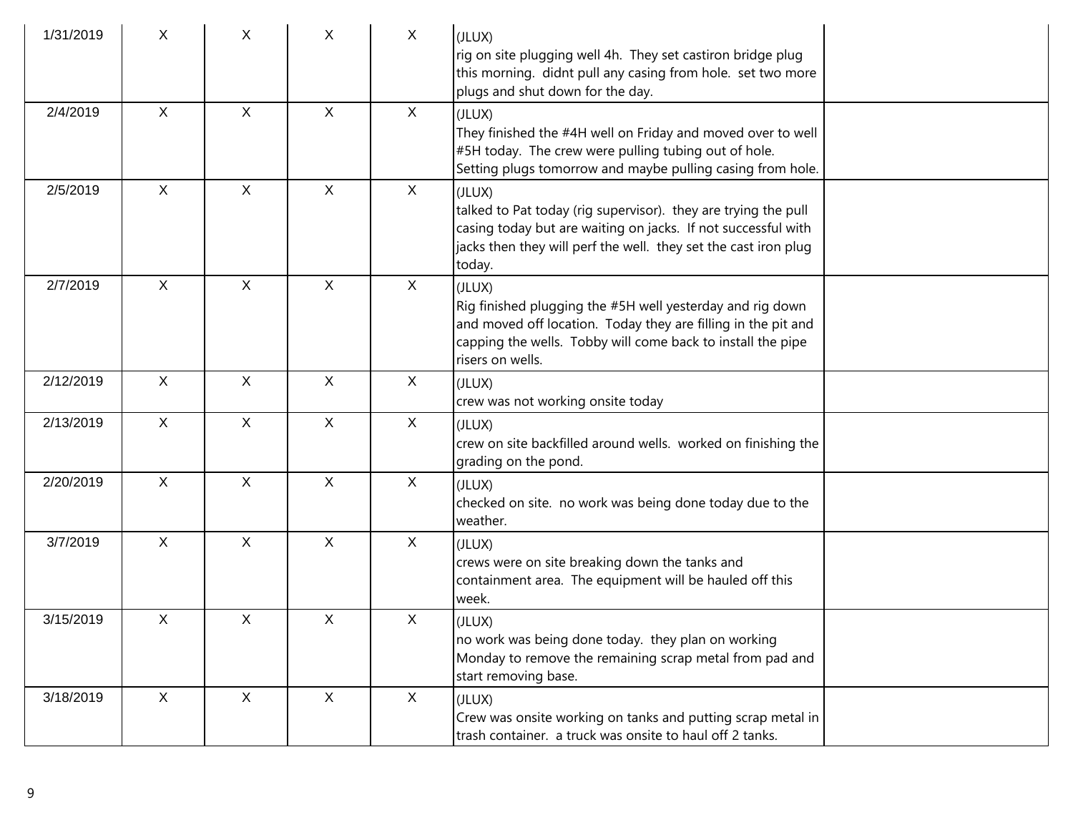| 1/31/2019 | X            | X            | X            | $\mathsf{X}$ | (JLUX)<br>rig on site plugging well 4h. They set castiron bridge plug<br>this morning. didnt pull any casing from hole. set two more<br>plugs and shut down for the day.                                                |
|-----------|--------------|--------------|--------------|--------------|-------------------------------------------------------------------------------------------------------------------------------------------------------------------------------------------------------------------------|
| 2/4/2019  | X            | $\mathsf{X}$ | $\mathsf X$  | $\mathsf{X}$ | (JLUX)<br>They finished the #4H well on Friday and moved over to well<br>#5H today. The crew were pulling tubing out of hole.<br>Setting plugs tomorrow and maybe pulling casing from hole.                             |
| 2/5/2019  | $\sf X$      | $\mathsf{X}$ | $\mathsf{X}$ | $\sf X$      | (JLUX)<br>talked to Pat today (rig supervisor). they are trying the pull<br>casing today but are waiting on jacks. If not successful with<br>jacks then they will perf the well. they set the cast iron plug<br>today.  |
| 2/7/2019  | $\mathsf{X}$ | X            | $\mathsf{X}$ | $\sf X$      | (JLUX)<br>Rig finished plugging the #5H well yesterday and rig down<br>and moved off location. Today they are filling in the pit and<br>capping the wells. Tobby will come back to install the pipe<br>risers on wells. |
| 2/12/2019 | X            | X            | $\mathsf X$  | $\mathsf{X}$ | (JLUX)<br>crew was not working onsite today                                                                                                                                                                             |
| 2/13/2019 | $\mathsf{X}$ | X            | $\mathsf X$  | $\mathsf{X}$ | (JLUX)<br>crew on site backfilled around wells. worked on finishing the<br>grading on the pond.                                                                                                                         |
| 2/20/2019 | $\mathsf{X}$ | $\mathsf{X}$ | $\mathsf{X}$ | $\sf X$      | (JLUX)<br>checked on site. no work was being done today due to the<br>weather.                                                                                                                                          |
| 3/7/2019  | $\mathsf{X}$ | $\mathsf{X}$ | $\mathsf{X}$ | $\mathsf{X}$ | (JLUX)<br>crews were on site breaking down the tanks and<br>containment area. The equipment will be hauled off this<br>week.                                                                                            |
| 3/15/2019 | X            | X            | X            | X            | (JLUX)<br>no work was being done today. they plan on working<br>Monday to remove the remaining scrap metal from pad and<br>start removing base.                                                                         |
| 3/18/2019 | X            | $\mathsf{X}$ | X            | X            | (JLUX)<br>Crew was onsite working on tanks and putting scrap metal in<br>trash container. a truck was onsite to haul off 2 tanks.                                                                                       |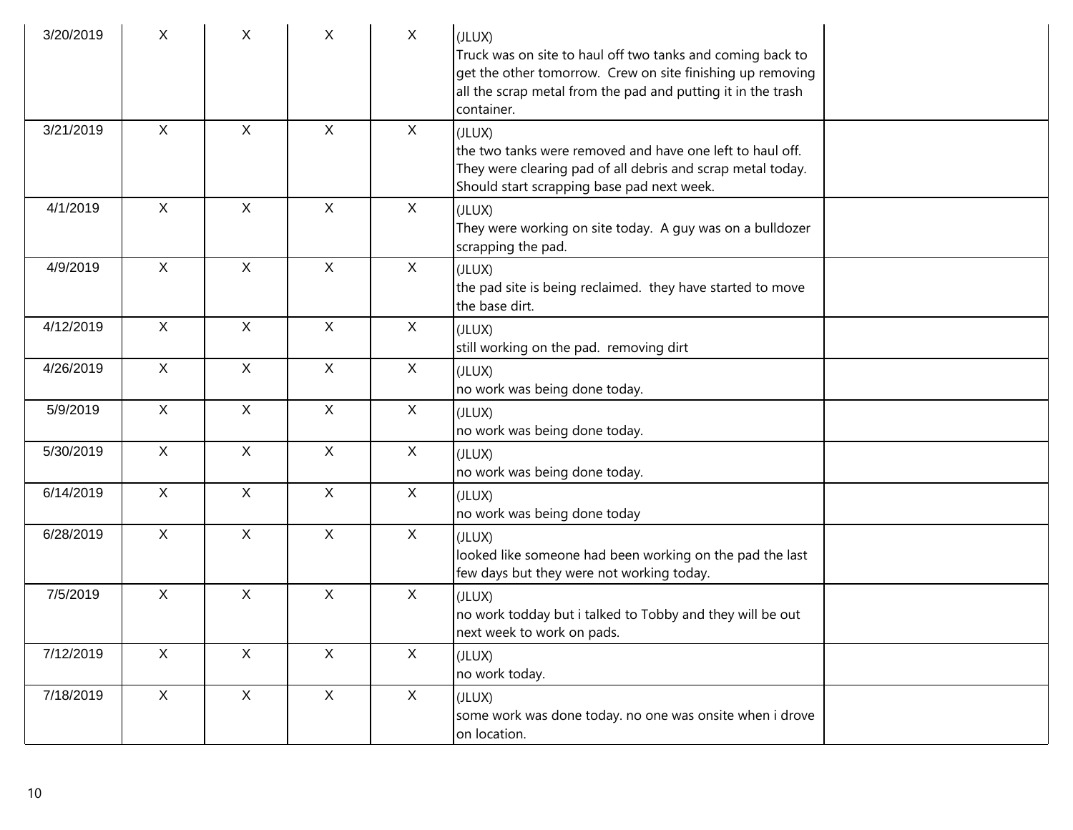| 3/20/2019 | X            | X                         | X            | $\mathsf{X}$ | (JLUX)<br>Truck was on site to haul off two tanks and coming back to<br>get the other tomorrow. Crew on site finishing up removing<br>all the scrap metal from the pad and putting it in the trash<br>container. |
|-----------|--------------|---------------------------|--------------|--------------|------------------------------------------------------------------------------------------------------------------------------------------------------------------------------------------------------------------|
| 3/21/2019 | $\mathsf{X}$ | X                         | $\mathsf{X}$ | X            | (JLUX)<br>the two tanks were removed and have one left to haul off.<br>They were clearing pad of all debris and scrap metal today.<br>Should start scrapping base pad next week.                                 |
| 4/1/2019  | $\mathsf{X}$ | $\mathsf{X}$              | $\mathsf{X}$ | $\mathsf{X}$ | (JLUX)<br>They were working on site today. A guy was on a bulldozer<br>scrapping the pad.                                                                                                                        |
| 4/9/2019  | $\mathsf{X}$ | X                         | X            | X            | (JLUX)<br>the pad site is being reclaimed. they have started to move<br>the base dirt.                                                                                                                           |
| 4/12/2019 | $\mathsf{X}$ | $\mathsf{X}$              | $\mathsf{X}$ | X            | (JLUX)<br>still working on the pad. removing dirt                                                                                                                                                                |
| 4/26/2019 | $\mathsf{X}$ | $\mathsf{X}$              | $\mathsf{X}$ | X            | (JLUX)<br>no work was being done today.                                                                                                                                                                          |
| 5/9/2019  | $\mathsf{X}$ | $\boldsymbol{\mathsf{X}}$ | $\mathsf{X}$ | $\mathsf X$  | (JLUX)<br>no work was being done today.                                                                                                                                                                          |
| 5/30/2019 | $\mathsf{X}$ | $\mathsf{X}$              | $\mathsf{X}$ | X            | (JLUX)<br>no work was being done today.                                                                                                                                                                          |
| 6/14/2019 | $\mathsf X$  | $\mathsf X$               | $\mathsf{X}$ | X            | (JLUX)<br>no work was being done today                                                                                                                                                                           |
| 6/28/2019 | $\mathsf{X}$ | $\mathsf{X}$              | $\mathsf{X}$ | $\mathsf{X}$ | (JLUX)<br>looked like someone had been working on the pad the last<br>few days but they were not working today.                                                                                                  |
| 7/5/2019  | $\mathsf{X}$ | X                         | $\mathsf{X}$ | X            | (JLUX)<br>no work todday but i talked to Tobby and they will be out<br>next week to work on pads.                                                                                                                |
| 7/12/2019 | $\mathsf{X}$ | $\mathsf{X}$              | $\mathsf{X}$ | $\mathsf{X}$ | (JLUX)<br>no work today.                                                                                                                                                                                         |
| 7/18/2019 | X            | $\mathsf{X}$              | $\mathsf{X}$ | X            | (JLUX)<br>some work was done today. no one was onsite when i drove<br>on location.                                                                                                                               |